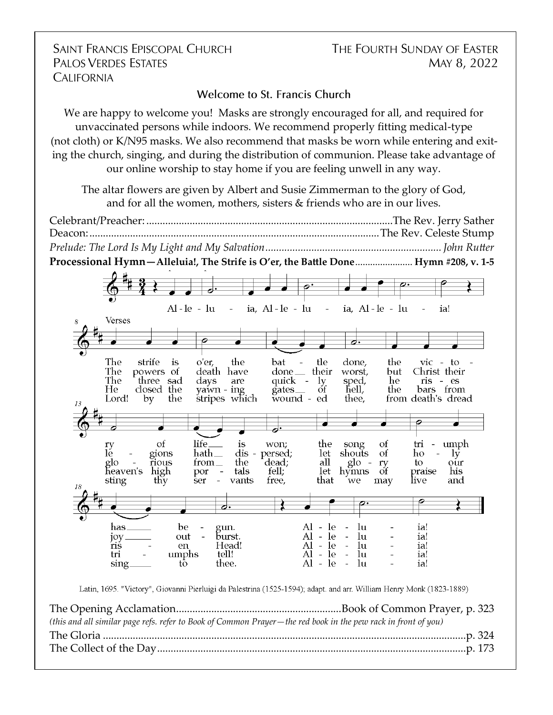## **SAINT FRANCIS EPISCOPAL CHURCH PALOS VERDES ESTATES CALIFORNIA**

## **Welcome to St. Francis Church**

We are happy to welcome you! Masks are strongly encouraged for all, and required for unvaccinated persons while indoors. We recommend properly fitting medical-type (not cloth) or K/N95 masks. We also recommend that masks be worn while entering and exiting the church, singing, and during the distribution of communion. Please take advantage of our online worship to stay home if you are feeling unwell in any way.

The altar flowers are given by Albert and Susie Zimmerman to the glory of God, and for all the women, mothers, sisters & friends who are in our lives.

Celebrant/Preacher: ...........................................................................................The Rev. Jerry Sather Deacon:...........................................................................................................The Rev. Celeste Stump *Prelude: The Lord Is My Light and My Salvation................................................................. John Rutter* **Processional Hymn—Alleluia!, The Strife is O'er, the Battle Done**....................... **Hymn #208, v. 1-5**  $Al-le - lu$  $\mathbb{L}$ ia, Al-le - lu  $\sim$   $$ ia, Al-le - lu ia! **Verses** O  $\overline{\phantom{a}}$ The  $\frac{\text{bat}}{\text{done}}$ strife is o'er. the tle done, the vic to The powers of death have their worst, but Christ their The quick three sad days are  $1<sub>V</sub>$ sped, he  $ris - es$ He closed the bars from yawn - ing gates.  $\dot{\mathrm{of}}$ hell. the wound - ed Lord! by the stripes which thee, from death's dread  $\overline{\rho}$ of life. *is* won; the song Οf tri - umph ry lě. gions persed; shouts <sub>of</sub> hath. dis let ho  $1\bar{y}$ glo<br>heaven's rious from  $\_$ the dead; all  $g$ lo ry to our hymns high  $\sigma f$ praise por tals fell; let his live sting thy ser  $\mathbf{r}$ vants free, that we may and Ţ ᇰ. has be gun. Al - le  $\ln$ ia! out burst. Al - le  $\mathbb{Z}^2$  $\ln$ ia! joy  $-$  le ris Head! Al  $\mathbb{Z}$  $\ln$ ia! en  $-1e$ umphs Al  $\mathcal{L}$ tri tell! lu  $\overline{a}$ ia! - le Al ia! sing. to thee. -lu

Latin, 1695. "Victory", Giovanni Pierluigi da Palestrina (1525-1594); adapt. and arr. William Henry Monk (1823-1889)

| (this and all similar page refs. refer to Book of Common Prayer—the red book in the pew rack in front of you) |  |
|---------------------------------------------------------------------------------------------------------------|--|
|                                                                                                               |  |
|                                                                                                               |  |
|                                                                                                               |  |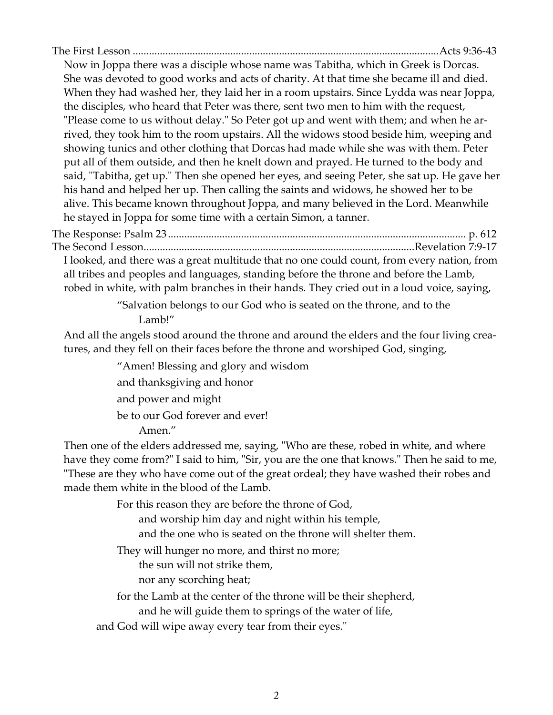| The First Lesson<br>Acts 9:36-43.                                                            |
|----------------------------------------------------------------------------------------------|
| Now in Joppa there was a disciple whose name was Tabitha, which in Greek is Dorcas.          |
| She was devoted to good works and acts of charity. At that time she became ill and died.     |
| When they had washed her, they laid her in a room upstairs. Since Lydda was near Joppa,      |
| the disciples, who heard that Peter was there, sent two men to him with the request,         |
| "Please come to us without delay." So Peter got up and went with them; and when he ar-       |
| rived, they took him to the room upstairs. All the widows stood beside him, weeping and      |
| showing tunics and other clothing that Dorcas had made while she was with them. Peter        |
| put all of them outside, and then he knelt down and prayed. He turned to the body and        |
| said, "Tabitha, get up." Then she opened her eyes, and seeing Peter, she sat up. He gave her |
| his hand and helped her up. Then calling the saints and widows, he showed her to be          |
| alive. This became known throughout Joppa, and many believed in the Lord. Meanwhile          |
| he stayed in Joppa for some time with a certain Simon, a tanner.                             |

The Response: Psalm 23.............................................................................................................. p. 612 The Second Lesson....................................................................................................Revelation 7:9-17

I looked, and there was a great multitude that no one could count, from every nation, from all tribes and peoples and languages, standing before the throne and before the Lamb, robed in white, with palm branches in their hands. They cried out in a loud voice, saying,

> "Salvation belongs to our God who is seated on the throne, and to the Lamb!"

And all the angels stood around the throne and around the elders and the four living creatures, and they fell on their faces before the throne and worshiped God, singing,

> "Amen! Blessing and glory and wisdom and thanksgiving and honor and power and might be to our God forever and ever!

Amen."

Then one of the elders addressed me, saying, "Who are these, robed in white, and where have they come from?" I said to him, "Sir, you are the one that knows." Then he said to me, "These are they who have come out of the great ordeal; they have washed their robes and made them white in the blood of the Lamb.

For this reason they are before the throne of God,

and worship him day and night within his temple,

and the one who is seated on the throne will shelter them.

They will hunger no more, and thirst no more;

the sun will not strike them,

nor any scorching heat;

for the Lamb at the center of the throne will be their shepherd,

and he will guide them to springs of the water of life,

and God will wipe away every tear from their eyes."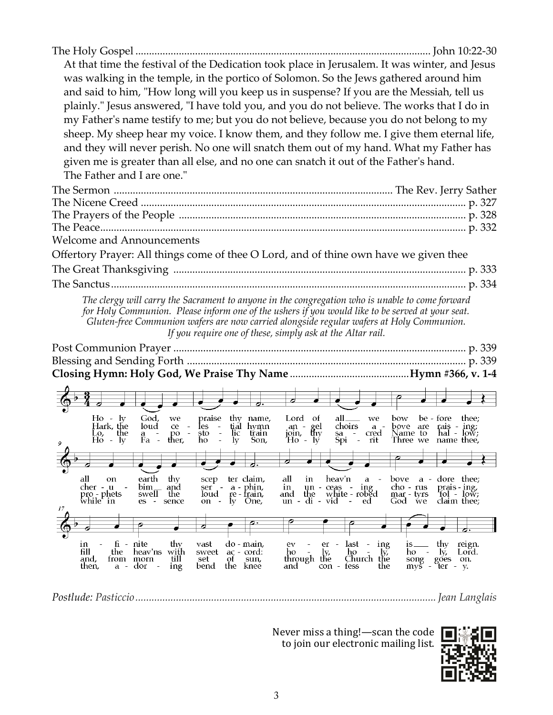|     | At that time the festival of the Dedication took place in Jerusalem. It was winter, and Jesus                                                                                                |                                        |                                      |                                 |                                                     |                            |                                                                   |                                      |                                                   |                         |                         |                                                             |        |
|-----|----------------------------------------------------------------------------------------------------------------------------------------------------------------------------------------------|----------------------------------------|--------------------------------------|---------------------------------|-----------------------------------------------------|----------------------------|-------------------------------------------------------------------|--------------------------------------|---------------------------------------------------|-------------------------|-------------------------|-------------------------------------------------------------|--------|
|     | was walking in the temple, in the portico of Solomon. So the Jews gathered around him                                                                                                        |                                        |                                      |                                 |                                                     |                            |                                                                   |                                      |                                                   |                         |                         |                                                             |        |
|     | and said to him, "How long will you keep us in suspense? If you are the Messiah, tell us                                                                                                     |                                        |                                      |                                 |                                                     |                            |                                                                   |                                      |                                                   |                         |                         |                                                             |        |
|     | plainly." Jesus answered, "I have told you, and you do not believe. The works that I do in                                                                                                   |                                        |                                      |                                 |                                                     |                            |                                                                   |                                      |                                                   |                         |                         |                                                             |        |
|     | my Father's name testify to me; but you do not believe, because you do not belong to my                                                                                                      |                                        |                                      |                                 |                                                     |                            |                                                                   |                                      |                                                   |                         |                         |                                                             |        |
|     | sheep. My sheep hear my voice. I know them, and they follow me. I give them eternal life,                                                                                                    |                                        |                                      |                                 |                                                     |                            |                                                                   |                                      |                                                   |                         |                         |                                                             |        |
|     | and they will never perish. No one will snatch them out of my hand. What my Father has                                                                                                       |                                        |                                      |                                 |                                                     |                            |                                                                   |                                      |                                                   |                         |                         |                                                             |        |
|     | given me is greater than all else, and no one can snatch it out of the Father's hand.                                                                                                        |                                        |                                      |                                 |                                                     |                            |                                                                   |                                      |                                                   |                         |                         |                                                             |        |
|     | The Father and I are one."                                                                                                                                                                   |                                        |                                      |                                 |                                                     |                            |                                                                   |                                      |                                                   |                         |                         |                                                             |        |
|     |                                                                                                                                                                                              |                                        |                                      |                                 |                                                     |                            |                                                                   |                                      |                                                   |                         |                         |                                                             |        |
|     |                                                                                                                                                                                              |                                        |                                      |                                 |                                                     |                            |                                                                   |                                      |                                                   |                         |                         |                                                             |        |
|     |                                                                                                                                                                                              |                                        |                                      |                                 |                                                     |                            |                                                                   |                                      |                                                   |                         |                         |                                                             |        |
|     | <b>Welcome and Announcements</b>                                                                                                                                                             |                                        |                                      |                                 |                                                     |                            |                                                                   |                                      |                                                   |                         |                         |                                                             |        |
|     |                                                                                                                                                                                              |                                        |                                      |                                 |                                                     |                            |                                                                   |                                      |                                                   |                         |                         |                                                             |        |
|     | Offertory Prayer: All things come of thee O Lord, and of thine own have we given thee                                                                                                        |                                        |                                      |                                 |                                                     |                            |                                                                   |                                      |                                                   |                         |                         |                                                             |        |
|     |                                                                                                                                                                                              |                                        |                                      |                                 |                                                     |                            |                                                                   |                                      |                                                   |                         |                         |                                                             |        |
|     |                                                                                                                                                                                              |                                        |                                      |                                 |                                                     |                            |                                                                   |                                      |                                                   |                         |                         |                                                             |        |
|     | The clergy will carry the Sacrament to anyone in the congregation who is unable to come forward                                                                                              |                                        |                                      |                                 |                                                     |                            |                                                                   |                                      |                                                   |                         |                         |                                                             |        |
|     | for Holy Communion. Please inform one of the ushers if you would like to be served at your seat.<br>Gluten-free Communion wafers are now carried alongside regular wafers at Holy Communion. |                                        |                                      |                                 |                                                     |                            |                                                                   |                                      |                                                   |                         |                         |                                                             |        |
|     |                                                                                                                                                                                              |                                        |                                      |                                 |                                                     |                            | If you require one of these, simply ask at the Altar rail.        |                                      |                                                   |                         |                         |                                                             |        |
|     |                                                                                                                                                                                              |                                        |                                      |                                 |                                                     |                            |                                                                   |                                      |                                                   |                         |                         |                                                             |        |
|     |                                                                                                                                                                                              |                                        |                                      |                                 |                                                     |                            |                                                                   |                                      |                                                   |                         |                         |                                                             |        |
|     |                                                                                                                                                                                              |                                        |                                      |                                 |                                                     |                            |                                                                   |                                      |                                                   |                         |                         |                                                             |        |
|     |                                                                                                                                                                                              |                                        |                                      |                                 |                                                     |                            | $\bullet$ $\bullet$ $\circ$ $\circ$ $\bullet$ $\bullet$ $\bullet$ |                                      |                                                   |                         |                         |                                                             |        |
|     |                                                                                                                                                                                              | $\overline{\phantom{a}}$               |                                      |                                 |                                                     |                            |                                                                   |                                      |                                                   |                         |                         |                                                             |        |
|     | $Ho - Iv$<br>Hark, the                                                                                                                                                                       | God, we<br>loud                        | $ce -$                               | les                             | praise thy name,                                    | tial hymn                  | Lord of                                                           | $all$ <sub>___</sub><br>choirs       | we<br>$a -$                                       | bow<br>bove are         |                         | be - fore thee;                                             |        |
|     | Lo,<br>Ho.<br>$ \mathbf{v}$                                                                                                                                                                  |                                        | $a$ - $p$ <sup>o</sup> - $a$ - ther, | sto -<br>ho -                   | - Iv                                                | lic train<br>Son,          | an - gel<br>join, thy<br>Ho - ly                                  | $sa -$                               | Spi - rit Three we name thee,                     | cred Name to            |                         | rais - ing;<br>hal - low;                                   |        |
| 9   |                                                                                                                                                                                              |                                        |                                      |                                 |                                                     |                            |                                                                   |                                      |                                                   |                         | the control of the con- |                                                             |        |
|     |                                                                                                                                                                                              |                                        |                                      |                                 |                                                     |                            |                                                                   |                                      |                                                   |                         |                         |                                                             |        |
|     | all<br>on                                                                                                                                                                                    | earth                                  | thy                                  | scep                            | ter claim,                                          |                            | all<br>in                                                         | heav'n                               | $a -$                                             | bove                    |                         | a - dore thee;                                              |        |
|     | $cher - u$<br>$\sim$ $-$<br>pro - phets                                                                                                                                                      | $\text{bim}_{\text{max}}$ and<br>swell | the                                  |                                 | $\text{ser}$ - $a$ - $\text{phi}$<br>loud re-frain, |                            | in<br>and the                                                     | un - ceas - ing<br>the white - robed |                                                   | cho - rus<br>mar - tyrs |                         | prais - ing.<br>fol - low;                                  |        |
| -17 | while in                                                                                                                                                                                     | es - sence                             |                                      |                                 | on - ly One,                                        |                            | $un - di - vid$                                                   | $\sim$                               | ed.                                               | God we                  |                         | claim thee:                                                 |        |
|     |                                                                                                                                                                                              |                                        |                                      |                                 |                                                     | $\overline{\mathcal{O}}$ . |                                                                   |                                      |                                                   |                         |                         |                                                             |        |
|     |                                                                                                                                                                                              |                                        |                                      |                                 |                                                     |                            |                                                                   |                                      |                                                   |                         |                         |                                                             |        |
|     |                                                                                                                                                                                              |                                        |                                      |                                 |                                                     |                            |                                                                   |                                      |                                                   |                         |                         |                                                             |        |
| in. | $fi$ - $nit$<br>$\sim$<br>fill<br>and,<br>from morn                                                                                                                                          | the heav'ns with                       | thy<br>till.                         | vast<br>sweet ac - cord:<br>set | do - main,<br>of sun,                               |                            | ev<br>ho<br>$\sim$ $-$<br>through the                             | $er -$<br>1y<br>$ho -$               | last - ing<br>$\overline{\text{W}}$<br>Church the |                         | $is$ <sub>___</sub>     | thy<br>$ho - ly$ , Lord.<br>song goes on.<br>mys - ter - y. | reign. |

*Postlude: Pasticcio............................................................................................................... Jean Langlais*

Never miss a thing!—scan the code to join our electronic mailing list.